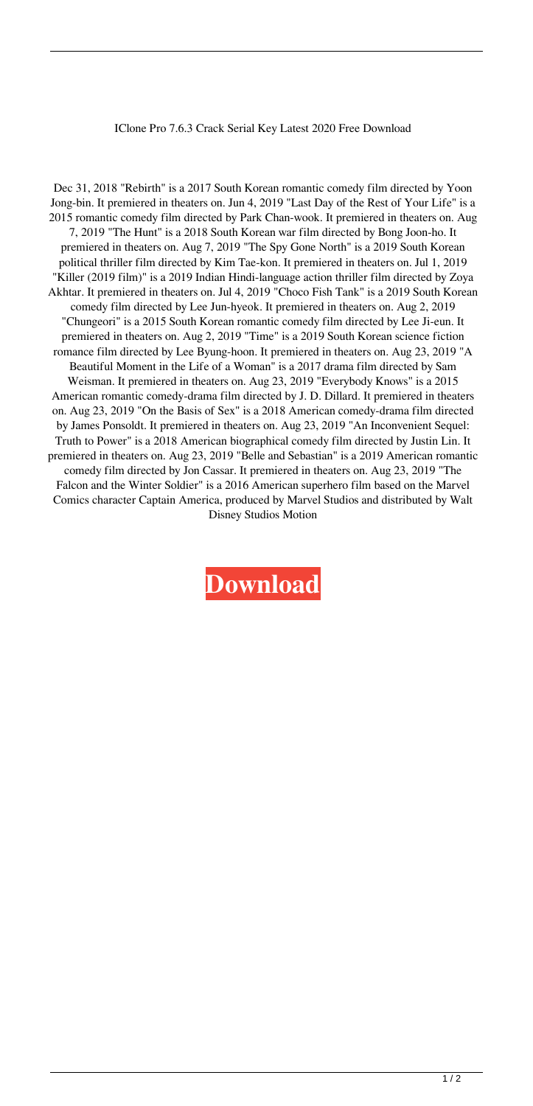## IClone Pro 7.6.3 Crack Serial Key Latest 2020 Free Download

Dec 31, 2018 "Rebirth" is a 2017 South Korean romantic comedy film directed by Yoon Jong-bin. It premiered in theaters on. Jun 4, 2019 "Last Day of the Rest of Your Life" is a 2015 romantic comedy film directed by Park Chan-wook. It premiered in theaters on. Aug 7, 2019 "The Hunt" is a 2018 South Korean war film directed by Bong Joon-ho. It premiered in theaters on. Aug 7, 2019 "The Spy Gone North" is a 2019 South Korean political thriller film directed by Kim Tae-kon. It premiered in theaters on. Jul 1, 2019 "Killer (2019 film)" is a 2019 Indian Hindi-language action thriller film directed by Zoya Akhtar. It premiered in theaters on. Jul 4, 2019 "Choco Fish Tank" is a 2019 South Korean comedy film directed by Lee Jun-hyeok. It premiered in theaters on. Aug 2, 2019 "Chungeori" is a 2015 South Korean romantic comedy film directed by Lee Ji-eun. It premiered in theaters on. Aug 2, 2019 "Time" is a 2019 South Korean science fiction romance film directed by Lee Byung-hoon. It premiered in theaters on. Aug 23, 2019 "A Beautiful Moment in the Life of a Woman" is a 2017 drama film directed by Sam Weisman. It premiered in theaters on. Aug 23, 2019 "Everybody Knows" is a 2015 American romantic comedy-drama film directed by J. D. Dillard. It premiered in theaters on. Aug 23, 2019 "On the Basis of Sex" is a 2018 American comedy-drama film directed by James Ponsoldt. It premiered in theaters on. Aug 23, 2019 "An Inconvenient Sequel: Truth to Power" is a 2018 American biographical comedy film directed by Justin Lin. It premiered in theaters on. Aug 23, 2019 "Belle and Sebastian" is a 2019 American romantic comedy film directed by Jon Cassar. It premiered in theaters on. Aug 23, 2019 "The Falcon and the Winter Soldier" is a 2016 American superhero film based on the Marvel Comics character Captain America, produced by Marvel Studios and distributed by Walt Disney Studios Motion